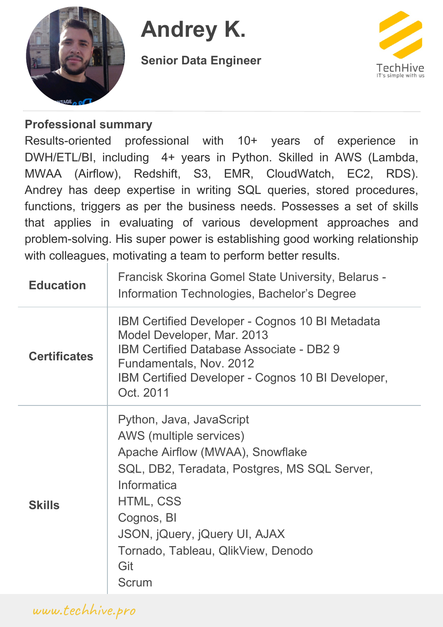

# **Andrey K.**

**Senior Data Engineer**



#### **Professional summary**

Results-oriented professional with 10+ years of experience in DWH/ETL/BI, including 4+ years in Python. Skilled in AWS (Lambda, MWAA (Airflow), Redshift, S3, EMR, CloudWatch, EC2, RDS). Andrey has deep expertise in writing SQL queries, stored procedures, functions, triggers as per the business needs. Possesses a set of skills that applies in evaluating of various development approaches and problem-solving. His super power is establishing good working relationship with colleagues, motivating a team to perform better results.

| <b>Education</b>    | Francisk Skorina Gomel State University, Belarus -<br>Information Technologies, Bachelor's Degree                                                                                                                                                                        |
|---------------------|--------------------------------------------------------------------------------------------------------------------------------------------------------------------------------------------------------------------------------------------------------------------------|
| <b>Certificates</b> | IBM Certified Developer - Cognos 10 BI Metadata<br>Model Developer, Mar. 2013<br><b>IBM Certified Database Associate - DB2 9</b><br>Fundamentals, Nov. 2012<br>IBM Certified Developer - Cognos 10 BI Developer,<br>Oct. 2011                                            |
| <b>Skills</b>       | Python, Java, JavaScript<br>AWS (multiple services)<br>Apache Airflow (MWAA), Snowflake<br>SQL, DB2, Teradata, Postgres, MS SQL Server,<br>Informatica<br>HTML, CSS<br>Cognos, BI<br>JSON, jQuery, jQuery UI, AJAX<br>Tornado, Tableau, QlikView, Denodo<br>Git<br>Scrum |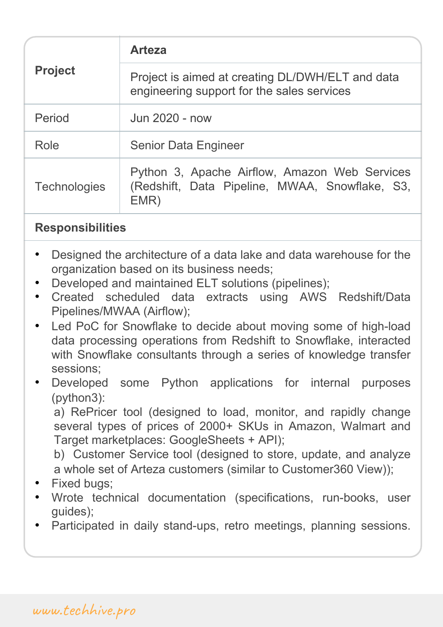| <b>Project</b>      | <b>Arteza</b>                                                                                           |
|---------------------|---------------------------------------------------------------------------------------------------------|
|                     | Project is aimed at creating DL/DWH/ELT and data<br>engineering support for the sales services          |
| Period              | Jun 2020 - now                                                                                          |
| Role                | <b>Senior Data Engineer</b>                                                                             |
| <b>Technologies</b> | Python 3, Apache Airflow, Amazon Web Services<br>(Redshift, Data Pipeline, MWAA, Snowflake, S3,<br>EMR) |

- Designed the architecture of a data lake and data warehouse for the organization based on its business needs;
- Developed and maintained ELT solutions (pipelines);
- Created scheduled data extracts using AWS Redshift/Data Pipelines/MWAA (Airflow);
- Led PoC for Snowflake to decide about moving some of high-load data processing operations from Redshift to Snowflake, interacted with Snowflake consultants through a series of knowledge transfer sessions;
- Developed some Python applications for internal purposes (python3):

a) RePricer tool (designed to load, monitor, and rapidly change several types of prices of 2000+ SKUs in Amazon, Walmart and Target marketplaces: GoogleSheets + API);

b) Customer Service tool (designed to store, update, and analyze a whole set of Arteza customers (similar to Customer360 View));

- Fixed bugs:
- Wrote technical documentation (specifications, run-books, user guides);
- Participated in daily stand-ups, retro meetings, planning sessions.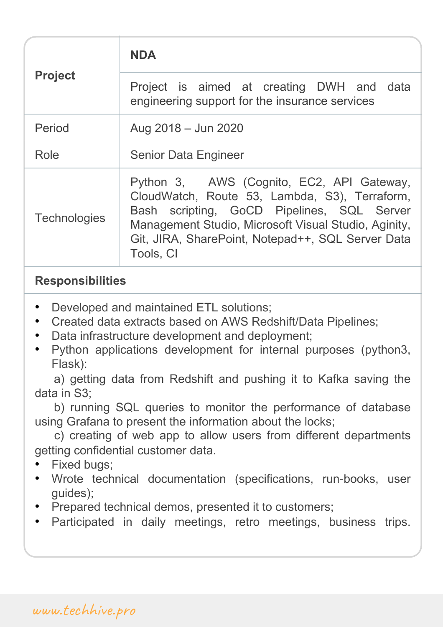| <b>Project</b>      | <b>NDA</b>                                                                                                                                                                                                                                                         |
|---------------------|--------------------------------------------------------------------------------------------------------------------------------------------------------------------------------------------------------------------------------------------------------------------|
|                     | Project is aimed at creating DWH and data<br>engineering support for the insurance services                                                                                                                                                                        |
| Period              | Aug 2018 - Jun 2020                                                                                                                                                                                                                                                |
| Role                | <b>Senior Data Engineer</b>                                                                                                                                                                                                                                        |
| <b>Technologies</b> | Python 3, AWS (Cognito, EC2, API Gateway,<br>CloudWatch, Route 53, Lambda, S3), Terraform,<br>Bash scripting, GoCD Pipelines, SQL Server<br>Management Studio, Microsoft Visual Studio, Aginity,<br>Git, JIRA, SharePoint, Notepad++, SQL Server Data<br>Tools, CI |

- Developed and maintained ETL solutions;
- Created data extracts based on AWS Redshift/Data Pipelines;
- Data infrastructure development and deployment;
- Python applications development for internal purposes (python3, Flask):

a) getting data from Redshift and pushing it to Kafka saving the data in S3;

b) running SQL queries to monitor the performance of database using Grafana to present the information about the locks;

c) creating of web app to allow users from different departments getting confidential customer data.

- Fixed bugs;
- Wrote technical documentation (specifications, run-books, user guides);
- Prepared technical demos, presented it to customers;
- Participated in daily meetings, retro meetings, business trips.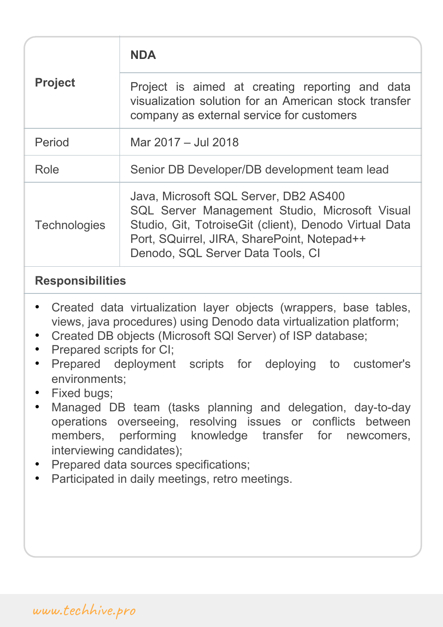| <b>Project</b>      | <b>NDA</b>                                                                                                                                                                                                                             |
|---------------------|----------------------------------------------------------------------------------------------------------------------------------------------------------------------------------------------------------------------------------------|
|                     | Project is aimed at creating reporting and data<br>visualization solution for an American stock transfer<br>company as external service for customers                                                                                  |
| Period              | Mar 2017 - Jul 2018                                                                                                                                                                                                                    |
| Role                | Senior DB Developer/DB development team lead                                                                                                                                                                                           |
| <b>Technologies</b> | Java, Microsoft SQL Server, DB2 AS400<br>SQL Server Management Studio, Microsoft Visual<br>Studio, Git, Totroise Git (client), Denodo Virtual Data<br>Port, SQuirrel, JIRA, SharePoint, Notepad++<br>Denodo, SQL Server Data Tools, CI |

- Created data virtualization layer objects (wrappers, base tables, views, java procedures) using Denodo data virtualization platform;
- Created DB objects (Microsoft SQl Server) of ISP database;
- Prepared scripts for CI;
- Prepared deployment scripts for deploying to customer's environments;
- Fixed bugs;
- Managed DB team (tasks planning and delegation, day-to-day operations overseeing, resolving issues or conflicts between members, performing knowledge transfer for newcomers, interviewing candidates);
- Prepared data sources specifications;
- Participated in daily meetings, retro meetings.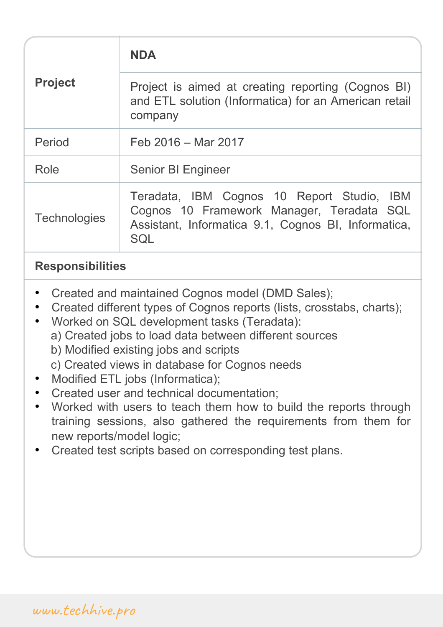| <b>Project</b>      | <b>NDA</b>                                                                                                                                            |
|---------------------|-------------------------------------------------------------------------------------------------------------------------------------------------------|
|                     | Project is aimed at creating reporting (Cognos BI)<br>and ETL solution (Informatica) for an American retail<br>company                                |
| Period              | Feb 2016 - Mar 2017                                                                                                                                   |
| Role                | <b>Senior BI Engineer</b>                                                                                                                             |
| <b>Technologies</b> | Teradata, IBM Cognos 10 Report Studio, IBM<br>Cognos 10 Framework Manager, Teradata SQL<br>Assistant, Informatica 9.1, Cognos BI, Informatica,<br>SQL |

- Created and maintained Cognos model (DMD Sales);
- Created different types of Cognos reports (lists, crosstabs, charts);
- Worked on SQL development tasks (Teradata):
	- a) Created jobs to load data between different sources
	- b) Modified existing jobs and scripts
	- c) Created views in database for Cognos needs
- Modified ETL jobs (Informatica);
- Created user and technical documentation;
- Worked with users to teach them how to build the reports through training sessions, also gathered the requirements from them for new reports/model logic;
- Created test scripts based on corresponding test plans.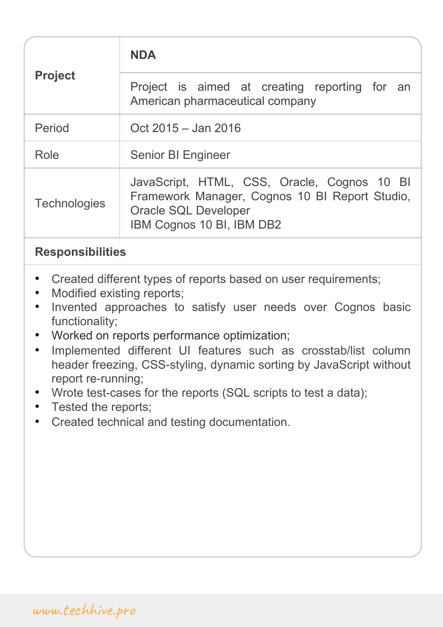| <b>Project</b>      | <b>NDA</b>                                                                                                                                                |
|---------------------|-----------------------------------------------------------------------------------------------------------------------------------------------------------|
|                     | Project is aimed at creating reporting for an<br>American pharmaceutical company                                                                          |
| Period              | Oct 2015 - Jan 2016                                                                                                                                       |
| Role                | <b>Senior BI Engineer</b>                                                                                                                                 |
| <b>Technologies</b> | JavaScript, HTML, CSS, Oracle, Cognos 10 BI<br>Framework Manager, Cognos 10 BI Report Studio,<br><b>Oracle SQL Developer</b><br>IBM Cognos 10 BI, IBM DB2 |

- Created different types of reports based on user requirements;
- Modified existing reports;
- Invented approaches to satisfy user needs over Cognos basic functionality;
- Worked on reports performance optimization;
- Implemented different UI features such as crosstab/list column header freezing, CSS-styling, dynamic sorting by JavaScript without report re-running;
- Wrote test-cases for the reports (SQL scripts to test a data);
- Tested the reports;
- Created technical and testing documentation.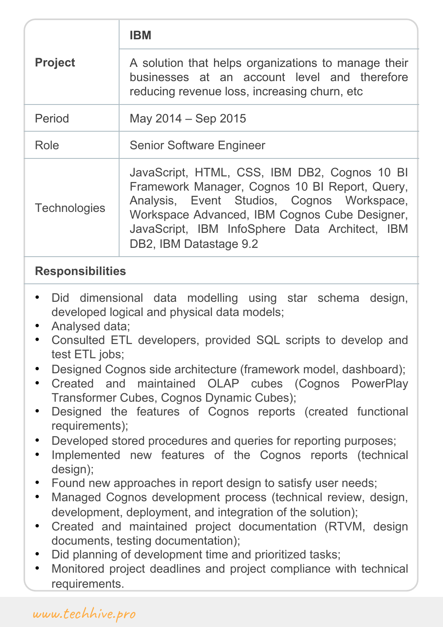| <b>Project</b>      |                                                                                                                                                                                                                                                                           |
|---------------------|---------------------------------------------------------------------------------------------------------------------------------------------------------------------------------------------------------------------------------------------------------------------------|
|                     | A solution that helps organizations to manage their<br>businesses at an account level and therefore<br>reducing revenue loss, increasing churn, etc.                                                                                                                      |
| Period              | May 2014 - Sep 2015                                                                                                                                                                                                                                                       |
| Role                | <b>Senior Software Engineer</b>                                                                                                                                                                                                                                           |
| <b>Technologies</b> | JavaScript, HTML, CSS, IBM DB2, Cognos 10 BI<br>Framework Manager, Cognos 10 BI Report, Query,<br>Analysis, Event Studios, Cognos Workspace,<br>Workspace Advanced, IBM Cognos Cube Designer,<br>JavaScript, IBM InfoSphere Data Architect, IBM<br>DB2, IBM Datastage 9.2 |

- Did dimensional data modelling using star schema design, developed logical and physical data models;
- Analysed data;
- Consulted ETL developers, provided SQL scripts to develop and test ETL jobs;
- Designed Cognos side architecture (framework model, dashboard);
- Created and maintained OLAP cubes (Cognos PowerPlay Transformer Cubes, Cognos Dynamic Cubes);
- Designed the features of Cognos reports (created functional requirements);
- Developed stored procedures and queries for reporting purposes;
- Implemented new features of the Cognos reports (technical design);
- Found new approaches in report design to satisfy user needs;
- Managed Cognos development process (technical review, design, development, deployment, and integration of the solution);
- Created and maintained project documentation (RTVM, design documents, testing documentation);
- Did planning of development time and prioritized tasks;
- Monitored project deadlines and project compliance with technical requirements.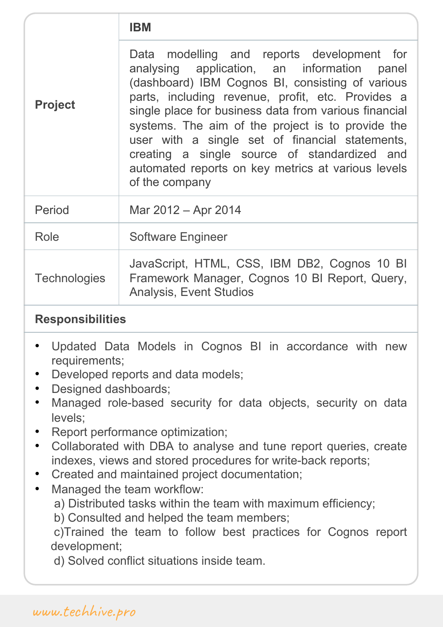| <b>Project</b>      | Data modelling and reports development for<br>analysing application, an information panel<br>(dashboard) IBM Cognos BI, consisting of various<br>parts, including revenue, profit, etc. Provides a<br>single place for business data from various financial<br>systems. The aim of the project is to provide the<br>user with a single set of financial statements,<br>creating a single source of standardized and<br>automated reports on key metrics at various levels<br>of the company |
|---------------------|---------------------------------------------------------------------------------------------------------------------------------------------------------------------------------------------------------------------------------------------------------------------------------------------------------------------------------------------------------------------------------------------------------------------------------------------------------------------------------------------|
| Period              | Mar 2012 – Apr 2014                                                                                                                                                                                                                                                                                                                                                                                                                                                                         |
| Role                | <b>Software Engineer</b>                                                                                                                                                                                                                                                                                                                                                                                                                                                                    |
| <b>Technologies</b> | JavaScript, HTML, CSS, IBM DB2, Cognos 10 BI<br>Framework Manager, Cognos 10 BI Report, Query,<br><b>Analysis, Event Studios</b>                                                                                                                                                                                                                                                                                                                                                            |

- Updated Data Models in Cognos BI in accordance with new requirements;
- Developed reports and data models;
- Designed dashboards;
- Managed role-based security for data objects, security on data levels;
- Report performance optimization;
- Collaborated with DBA to analyse and tune report queries, create indexes, views and stored procedures for write-back reports;
- Created and maintained project documentation;
- Managed the team workflow:
	- a) Distributed tasks within the team with maximum efficiency;

b) Consulted and helped the team members;

c)Trained the team to follow best practices for Cognos report development;

d) Solved conflict situations inside team.